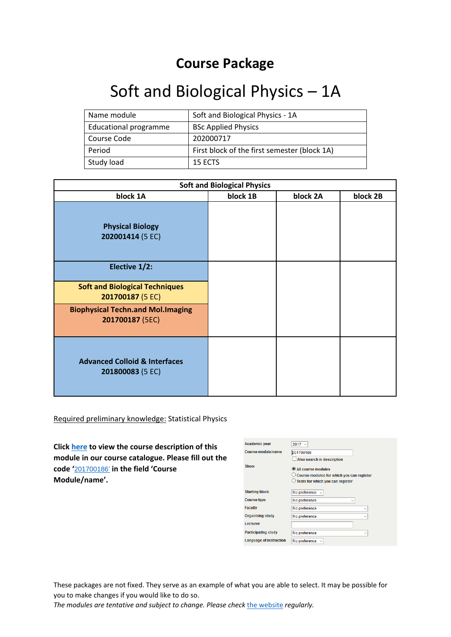## **Course Package**

## Soft and Biological Physics – 1A

| Name module                  | Soft and Biological Physics - 1A             |
|------------------------------|----------------------------------------------|
| <b>Educational programme</b> | <b>BSc Applied Physics</b>                   |
| Course Code                  | 202000717                                    |
| Period                       | First block of the first semester (block 1A) |
| Study load                   | 15 ECTS                                      |

| <b>Soft and Biological Physics</b>                           |          |          |          |
|--------------------------------------------------------------|----------|----------|----------|
| block 1A                                                     | block 1B | block 2A | block 2B |
| <b>Physical Biology</b><br>202001414 (5 EC)                  |          |          |          |
| Elective 1/2:                                                |          |          |          |
| <b>Soft and Biological Techniques</b><br>201700187 (5 EC)    |          |          |          |
| <b>Biophysical Techn.and Mol.Imaging</b><br>201700187 (5EC)  |          |          |          |
| <b>Advanced Colloid &amp; Interfaces</b><br>201800083 (5 EC) |          |          |          |

Required preliminary knowledge: Statistical Physics

**Click [here](https://osiris.utwente.nl/student/SetTaal.do?taal=en&bronUrl=/OnderwijsCatalogusZoekCursus.do&event=setTaal) to view the course description of this module in our course catalogue. Please fill out the code '**[201700186](https://osiris.utwente.nl/student/OnderwijsCatalogusZoekCursus.do)' **in the field 'Course Module/name'.**

| <b>Academic year</b>       | $2017 -$                                                      |
|----------------------------|---------------------------------------------------------------|
| Course module/name         | 201700186                                                     |
|                            | Also search in description                                    |
| Show                       | All course modules                                            |
|                            | $\circlearrowright$ Course modules for which you can register |
|                            | Tests for which you can register                              |
| <b>Starting block</b>      | No preference v                                               |
| <b>Course type</b>         | No preference                                                 |
| <b>Faculty</b>             | No preference<br>$\checkmark$                                 |
| <b>Organising study</b>    | No preference<br>$\checkmark$                                 |
| Lecturer                   |                                                               |
| <b>Participating study</b> | No preference<br>$\checkmark$                                 |
| Language of instruction    | No preference $\sim$                                          |

These packages are not fixed. They serve as an example of what you are able to select. It may be possible for you to make changes if you would like to do so.

*The modules are tentative and subject to change. Please check* [the website](https://www.utwente.nl/en/education/exchange-students/programmes/applied-physics/) *regularly.*